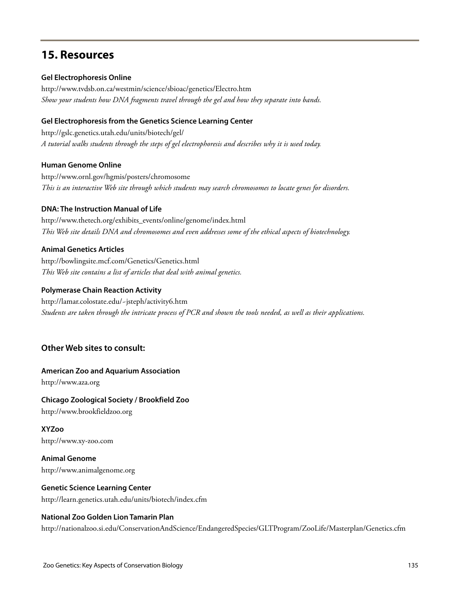# **15. Resources**

#### **Gel Electrophoresis Online**

http://www.tvdsb.on.ca/westmin/science/sbioac/genetics/Electro.htm *Show your students how DNA fragments travel through the gel and how they separate into bands.*

#### **Gel Electrophoresis from the Genetics Science Learning Center**

http://gslc.genetics.utah.edu/units/biotech/gel/ *A tutorial walks students through the steps of gel electrophoresis and describes why it is used today.*

#### **Human Genome Online**

http://www.ornl.gov/hgmis/posters/chromosome *This is an interactive Web site through which students may search chromosomes to locate genes for disorders.*

#### **DNA: The Instruction Manual of Life**

http://www.thetech.org/exhibits\_events/online/genome/index.html *This Web site details DNA and chromosomes and even addresses some of the ethical aspects of biotechnology.*

#### **Animal Genetics Articles**

http://bowlingsite.mcf.com/Genetics/Genetics.html *This Web site contains a list of articles that deal with animal genetics.*

#### **Polymerase Chain Reaction Activity**

http://lamar.colostate.edu/~jsteph/activity6.htm *Students are taken through the intricate process of PCR and shown the tools needed, as well as their applications.*

# **Other Web sites to consult:**

# **American Zoo and Aquarium Association**

http://www.aza.org

# **Chicago Zoological Society / Brookfield Zoo**

http://www.brookfieldzoo.org

# **XYZoo**

http://www.xy-zoo.com

**Animal Genome** http://www.animalgenome.org

# **Genetic Science Learning Center**

http://learn.genetics.utah.edu/units/biotech/index.cfm

# **National Zoo Golden Lion Tamarin Plan**

http://nationalzoo.si.edu/ConservationAndScience/EndangeredSpecies/GLTProgram/ZooLife/Masterplan/Genetics.cfm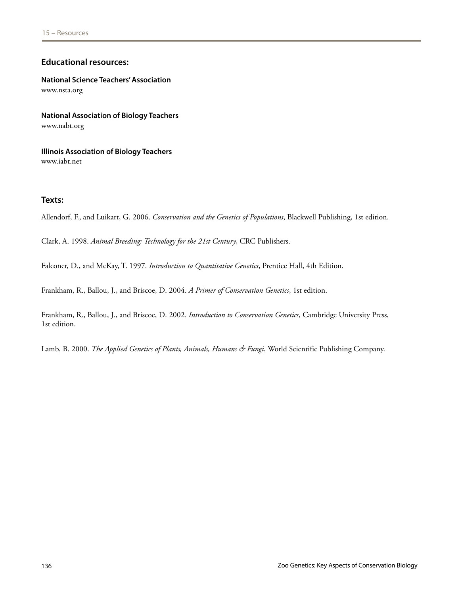# **Educational resources:**

**National Science Teachers' Association** www.nsta.org

**National Association of Biology Teachers** www.nabt.org

**Illinois Association of Biology Teachers** www.iabt.net

#### **Texts:**

Allendorf, F., and Luikart, G. 2006. *Conservation and the Genetics of Populations*, Blackwell Publishing, 1st edition.

Clark, A. 1998. *Animal Breeding: Technology for the 21st Century*, CRC Publishers.

Falconer, D., and McKay, T. 1997. *Introduction to Quantitative Genetics*, Prentice Hall, 4th Edition.

Frankham, R., Ballou, J., and Briscoe, D. 2004. *A Primer of Conservation Genetics*, 1st edition.

Frankham, R., Ballou, J., and Briscoe, D. 2002. *Introduction to Conservation Genetics*, Cambridge University Press, 1st edition.

Lamb, B. 2000. *The Applied Genetics of Plants, Animals, Humans & Fungi*, World Scientific Publishing Company.